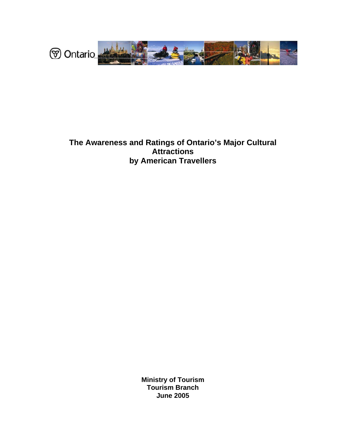

## **The Awareness and Ratings of Ontario's Major Cultural Attractions by American Travellers**

**Ministry of Tourism Tourism Branch June 2005**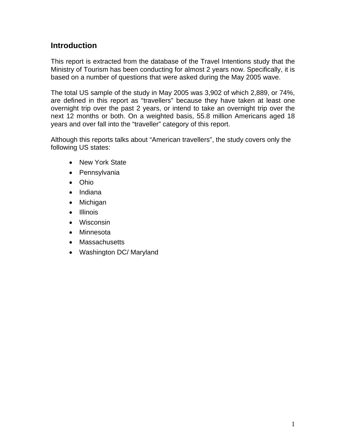## **Introduction**

This report is extracted from the database of the Travel Intentions study that the Ministry of Tourism has been conducting for almost 2 years now. Specifically, it is based on a number of questions that were asked during the May 2005 wave.

The total US sample of the study in May 2005 was 3,902 of which 2,889, or 74%, are defined in this report as "travellers" because they have taken at least one overnight trip over the past 2 years, or intend to take an overnight trip over the next 12 months or both. On a weighted basis, 55.8 million Americans aged 18 years and over fall into the "traveller" category of this report.

Although this reports talks about "American travellers", the study covers only the following US states:

- New York State
- Pennsylvania
- Ohio
- Indiana
- Michigan
- Illinois
- Wisconsin
- Minnesota
- Massachusetts
- Washington DC/ Maryland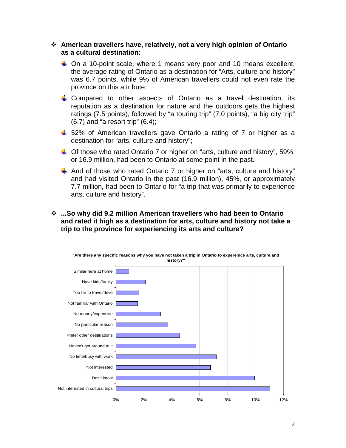## **American travellers have, relatively, not a very high opinion of Ontario as a cultural destination:**

- $\downarrow$  On a 10-point scale, where 1 means very poor and 10 means excellent, the average rating of Ontario as a destination for "Arts, culture and history" was 6.7 points, while 9% of American travellers could not even rate the province on this attribute;
- **↓** Compared to other aspects of Ontario as a travel destination, its reputation as a destination for nature and the outdoors gets the highest ratings (7.5 points), followed by "a touring trip" (7.0 points), "a big city trip"  $(6.7)$  and "a resort trip"  $(6.4)$ ;
- ↓ 52% of American travellers gave Ontario a rating of 7 or higher as a destination for "arts, culture and history";
- $\downarrow$  Of those who rated Ontario 7 or higher on "arts, culture and history", 59%, or 16.9 million, had been to Ontario at some point in the past.
- And of those who rated Ontario 7 or higher on "arts, culture and history" and had visited Ontario in the past (16.9 million), 45%, or approximately 7.7 million, had been to Ontario for "a trip that was primarily to experience arts, culture and history".

## **...So why did 9.2 million American travellers who had been to Ontario and rated it high as a destination for arts, culture and history not take a trip to the province for experiencing its arts and culture?**

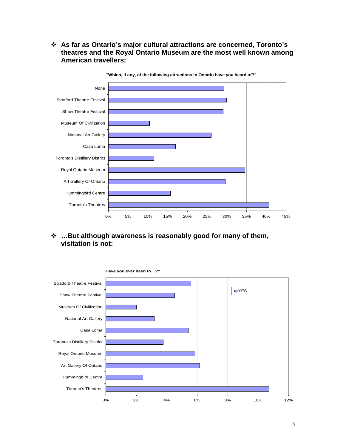**As far as Ontario's major cultural attractions are concerned, Toronto's theatres and the Royal Ontario Museum are the most well known among American travellers:** 



 **…But although awareness is reasonably good for many of them, visitation is not:** 

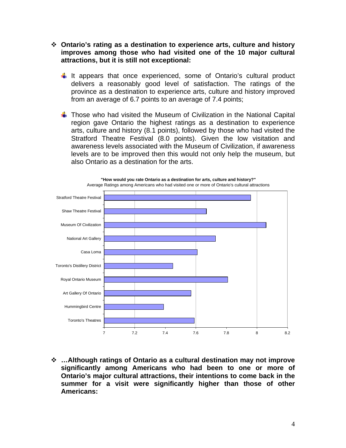- **Ontario's rating as a destination to experience arts, culture and histor y improves among those who had visited one of the 10 major cultural attractions, but it is s till not exceptional:**
	- $\pm$  It appears that once experienced, some of Ontario's cultural product delivers a reasonably good level of satisfaction. The ratings of the province as a destination to experience arts, culture and history improved from an average of 6.7 points to an average of 7.4 points;
	- **Those who had visited the Museum of Civilization in the National Capital** region gave Ontario the highest ratings as a destination to experience arts, culture and history (8.1 points), followed by those who had visited the Stratford Theatre Festival (8.0 points). Given the low visitation and awareness levels associated with the Museum of Civilization, if awareness levels are to be improved then this would not only help the museum, but also Ontario as a destination for the arts.



 **…Although ratings of Ontario as a cultural destination may not improve significantly among Americans who had been to one or more of Ontario's major cultural attractions, their intentions to come back in the summer for a visit were significantly higher than those of other Americans:**